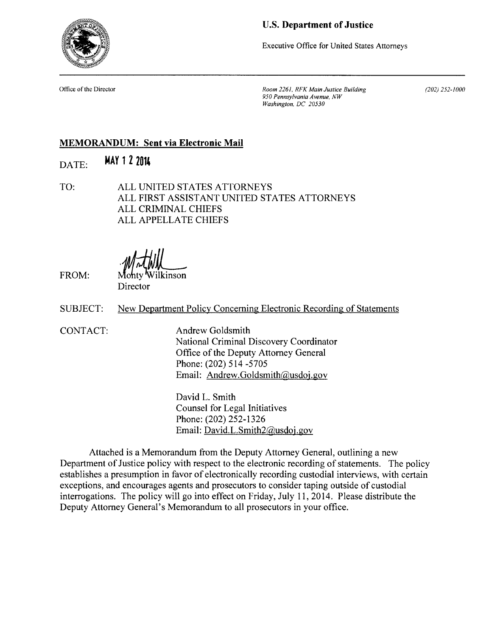

# U.S. **Department of Justice**

Executive Office for United States Attorneys

Office of the Director

*Room 2261, RFK Main Justice Building 950 Pennsylvania Avenue, NW Washington, DC 20530* 

*(202) 252-1000* 

# **MEMORANDUM: Sent via Electronic Mail**

#### DATE: **t.tAY 1 2 2014**

TO: ALL UNITED STATES ATTORNEYS ALL FIRST ASSISTANT UNITED STATES ATTORNEYS ALL CRIMINAL CHIEFS ALL APPELLATE CHIEFS

kinson

FROM:

Director

SUBJECT: New Department Policy Concerning Electronic Recording of Statements

CONTACT: Andrew Goldsmith National Criminal Discovery Coordinator Office of the Deputy Attorney General Phone: (202) 514-5705 Email: Andrew.Goldsmith@usdoj.gov

> David L. Smith Counsel for Legal Initiatives Phone: (202) 252-1326 Email: David.L.Smith2@usdoj.gov

Attached is a Memorandum from the Deputy Attorney General, outlining a new Department of Justice policy with respect to the electronic recording of statements. The policy establishes a presumption in favor of electronically recording custodial interviews, with certain exceptions, and encourages agents and prosecutors to consider taping outside of custodial interrogations. The policy will go into effect on Friday, July 11,2014. Please distribute the Deputy Attorney General's Memorandum to all prosecutors in your office.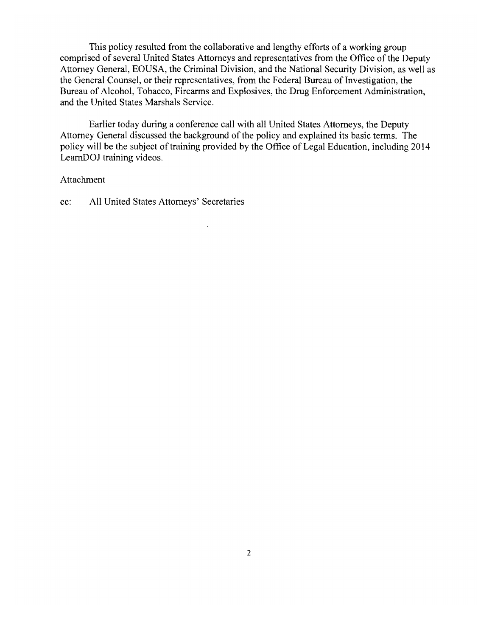This policy resulted from the collaborative and lengthy efforts of a working group comprised of several United States Attorneys and representatives from the Office of the Deputy Attorney General, EOUSA, the Criminal Division, and the National Security Division, as well as the General Counsel, or their representatives, from the Federal Bureau of Investigation, the Bureau of Alcohol, Tobacco, Firearms and Explosives, the Drug Enforcement Administration, and the United States Marshals Service.

Earlier today during a conference call with all United States Attorneys, the Deputy Attorney General discussed the background of the policy and explained its basic terms. The policy will be the subject of training provided by the Office of Legal Education, including 2014 LeamDOJ training videos.

 $\hat{\mathcal{A}}$ 

#### Attachment

cc: All United States Attorneys' Secretaries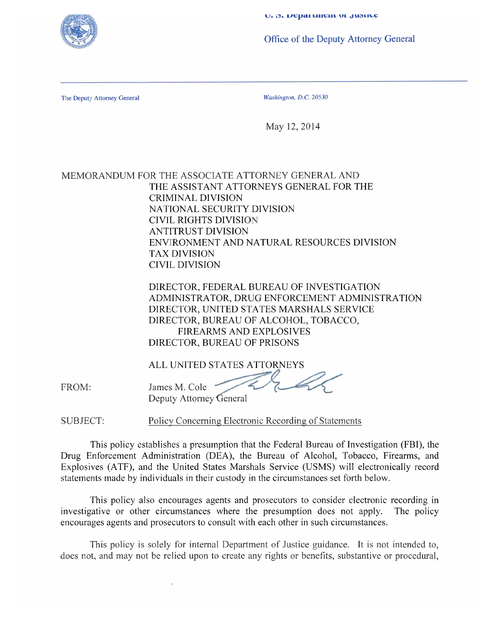0. э. перагинент от димис



Office of the Deputy Attorney General

The Deputy Attorney General

Washington, D.C. 20530

May 12, 2014

## MEMORANDUM FOR THE ASSOCIATE ATTORNEY GENERAL AND THE ASSISTANT ATTORNEYS GENERAL FOR THE CRIMINAL DIVISION NATIONAL SECURITY DIVISION **CIVIL RIGHTS DIVISION** ANTITRUST DIVISION ENVIRONMENT AND NATURAL RESOURCES DIVISION **TAX DIVISION CIVIL DIVISION**

DIRECTOR, FEDERAL BUREAU OF INVESTIGATION ADMINISTRATOR, DRUG ENFORCEMENT ADMINISTRATION DIRECTOR, UNITED STATES MARSHALS SERVICE DIRECTOR, BUREAU OF ALCOHOL, TOBACCO, FIREARMS AND EXPLOSIVES DIRECTOR, BUREAU OF PRISONS

ALL UNITED STATES ATTORNEYS

FROM:

James M. Cole Deputy Attorney General

**SUBJECT:** Policy Concerning Electronic Recording of Statements

This policy establishes a presumption that the Federal Bureau of Investigation (FBI), the Drug Enforcement Administration (DEA), the Bureau of Alcohol, Tobacco, Firearms, and Explosives (ATF), and the United States Marshals Service (USMS) will electronically record statements made by individuals in their custody in the circumstances set forth below.

This policy also encourages agents and prosecutors to consider electronic recording in investigative or other circumstances where the presumption does not apply. The policy encourages agents and prosecutors to consult with each other in such circumstances.

This policy is solely for internal Department of Justice guidance. It is not intended to, does not, and may not be relied upon to create any rights or benefits, substantive or procedural,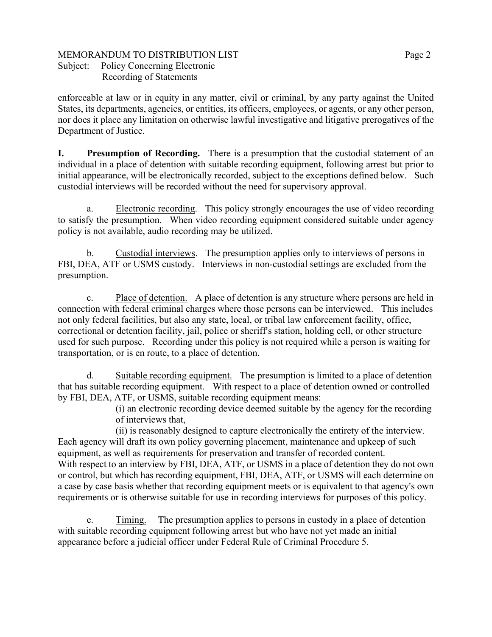#### MEMORANDUM TO DISTRIBUTION LIST Page 2 Subject: Policy Concerning Electronic Recording of Statements

enforceable at law or in equity in any matter, civil or criminal, by any party against the United States, its departments, agencies, or entities, its officers, employees, or agents, or any other person, nor does it place any limitation on otherwise lawful investigative and litigative prerogatives of the Department of Justice.

**I.** Presumption of Recording. There is a presumption that the custodial statement of an individual in a place of detention with suitable recording equipment, following arrest but prior to initial appearance, will be electronically recorded, subject to the exceptions defined below. Such custodial interviews will be recorded without the need for supervisory approval.

a. Electronic recording. This policy strongly encourages the use of video recording to satisfy the presumption. When video recording equipment considered suitable under agency policy is not available, audio recording may be utilized.

b. Custodial interviews. The presumption applies only to interviews of persons in FBI, DEA, ATF or USMS custody. Interviews in non-custodial settings are excluded from the presumption.

c. Place of detention. A place of detention is any structure where persons are held in connection with federal criminal charges where those persons can be interviewed. This includes not only federal facilities, but also any state, local, or tribal law enforcement facility, office, correctional or detention facility, jail, police or sheriff's station, holding cell, or other structure used for such purpose. Recording under this policy is not required while a person is waiting for transportation, or is en route, to a place of detention.

d. Suitable recording equipment. The presumption is limited to a place of detention that has suitable recording equipment. With respect to a place of detention owned or controlled by FBI, DEA, ATF, or USMS, suitable recording equipment means:

(i) an electronic recording device deemed suitable by the agency for the recording of interviews that,

(ii) is reasonably designed to capture electronically the entirety of the interview. Each agency will draft its own policy governing placement, maintenance and upkeep of such equipment, as well as requirements for preservation and transfer of recorded content. With respect to an interview by FBI, DEA, ATF, or USMS in a place of detention they do not own or control, but which has recording equipment, FBI, DEA, ATF, or USMS will each determine on a case by case basis whether that recording equipment meets or is equivalent to that agency's own requirements or is otherwise suitable for use in recording interviews for purposes of this policy.

e. Timing. The presumption applies to persons in custody in a place of detention with suitable recording equipment following arrest but who have not yet made an initial appearance before a judicial officer under Federal Rule of Criminal Procedure 5.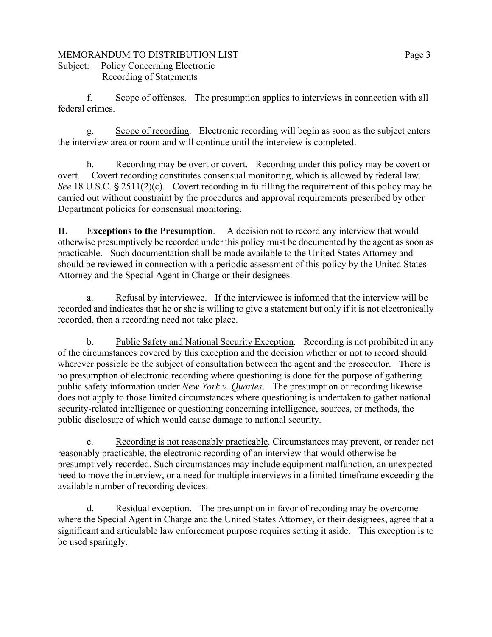#### MEMORANDUM TO DISTRIBUTION LIST Page 3 Subject: Policy Concerning Electronic Recording of Statements

 f. Scope of offenses. The presumption applies to interviews in connection with all federal crimes.

g. Scope of recording. Electronic recording will begin as soon as the subject enters the interview area or room and will continue until the interview is completed.

h. Recording may be overt or covert. Recording under this policy may be covert or overt. Covert recording constitutes consensual monitoring, which is allowed by federal law. *See* 18 U.S.C. § 2511(2)(c). Covert recording in fulfilling the requirement of this policy may be carried out without constraint by the procedures and approval requirements prescribed by other Department policies for consensual monitoring.

**II. Exceptions to the Presumption**. A decision not to record any interview that would otherwise presumptively be recorded under this policy must be documented by the agent as soon as practicable. Such documentation shall be made available to the United States Attorney and should be reviewed in connection with a periodic assessment of this policy by the United States Attorney and the Special Agent in Charge or their designees.

a. Refusal by interviewee. If the interviewee is informed that the interview will be recorded and indicates that he or she is willing to give a statement but only if it is not electronically recorded, then a recording need not take place.

b. Public Safety and National Security Exception. Recording is not prohibited in any of the circumstances covered by this exception and the decision whether or not to record should wherever possible be the subject of consultation between the agent and the prosecutor. There is no presumption of electronic recording where questioning is done for the purpose of gathering public safety information under *New York v. Quarles*. The presumption of recording likewise does not apply to those limited circumstances where questioning is undertaken to gather national security-related intelligence or questioning concerning intelligence, sources, or methods, the public disclosure of which would cause damage to national security.

c. Recording is not reasonably practicable. Circumstances may prevent, or render not reasonably practicable, the electronic recording of an interview that would otherwise be presumptively recorded. Such circumstances may include equipment malfunction, an unexpected need to move the interview, or a need for multiple interviews in a limited timeframe exceeding the available number of recording devices.

d. Residual exception. The presumption in favor of recording may be overcome where the Special Agent in Charge and the United States Attorney, or their designees, agree that a significant and articulable law enforcement purpose requires setting it aside. This exception is to be used sparingly.